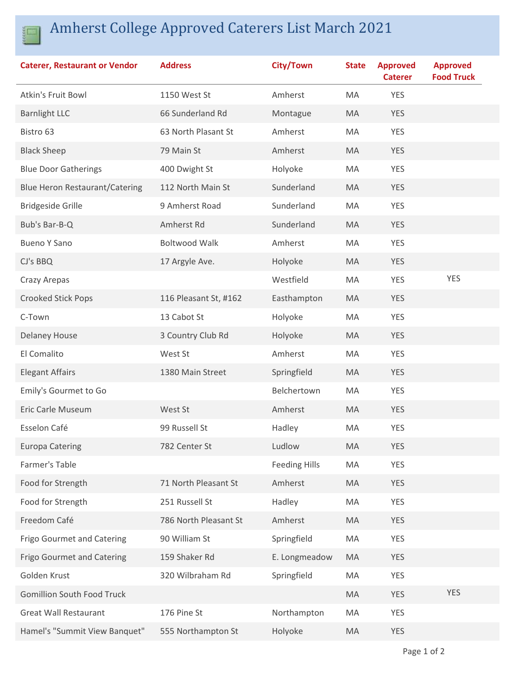

## Amherst College Approved Caterers List March 2021

| <b>Caterer, Restaurant or Vendor</b>  | <b>Address</b>        | City/Town            | <b>State</b> | <b>Approved</b><br><b>Caterer</b> | <b>Approved</b><br><b>Food Truck</b> |
|---------------------------------------|-----------------------|----------------------|--------------|-----------------------------------|--------------------------------------|
| Atkin's Fruit Bowl                    | 1150 West St          | Amherst              | MA           | <b>YES</b>                        |                                      |
| <b>Barnlight LLC</b>                  | 66 Sunderland Rd      | Montague             | MA           | <b>YES</b>                        |                                      |
| Bistro 63                             | 63 North Plasant St   | Amherst              | MA           | <b>YES</b>                        |                                      |
| <b>Black Sheep</b>                    | 79 Main St            | Amherst              | <b>MA</b>    | <b>YES</b>                        |                                      |
| <b>Blue Door Gatherings</b>           | 400 Dwight St         | Holyoke              | MA           | <b>YES</b>                        |                                      |
| <b>Blue Heron Restaurant/Catering</b> | 112 North Main St     | Sunderland           | MA           | <b>YES</b>                        |                                      |
| <b>Bridgeside Grille</b>              | 9 Amherst Road        | Sunderland           | MA           | <b>YES</b>                        |                                      |
| Bub's Bar-B-Q                         | Amherst Rd            | Sunderland           | MA           | <b>YES</b>                        |                                      |
| <b>Bueno Y Sano</b>                   | <b>Boltwood Walk</b>  | Amherst              | MA           | <b>YES</b>                        |                                      |
| CJ's BBQ                              | 17 Argyle Ave.        | Holyoke              | MA           | <b>YES</b>                        |                                      |
| Crazy Arepas                          |                       | Westfield            | MA           | <b>YES</b>                        | <b>YES</b>                           |
| <b>Crooked Stick Pops</b>             | 116 Pleasant St, #162 | Easthampton          | MA           | <b>YES</b>                        |                                      |
| C-Town                                | 13 Cabot St           | Holyoke              | MA           | <b>YES</b>                        |                                      |
| <b>Delaney House</b>                  | 3 Country Club Rd     | Holyoke              | MA           | <b>YES</b>                        |                                      |
| El Comalito                           | West St               | Amherst              | MA           | <b>YES</b>                        |                                      |
| <b>Elegant Affairs</b>                | 1380 Main Street      | Springfield          | MA           | <b>YES</b>                        |                                      |
| Emily's Gourmet to Go                 |                       | Belchertown          | MA           | <b>YES</b>                        |                                      |
| Eric Carle Museum                     | West St               | Amherst              | MA           | <b>YES</b>                        |                                      |
| Esselon Café                          | 99 Russell St         | Hadley               | MA           | <b>YES</b>                        |                                      |
| <b>Europa Catering</b>                | 782 Center St         | Ludlow               | MA           | <b>YES</b>                        |                                      |
| Farmer's Table                        |                       | <b>Feeding Hills</b> | MA           | <b>YES</b>                        |                                      |
| Food for Strength                     | 71 North Pleasant St  | Amherst              | MA           | <b>YES</b>                        |                                      |
| Food for Strength                     | 251 Russell St        | Hadley               | MA           | <b>YES</b>                        |                                      |
| Freedom Café                          | 786 North Pleasant St | Amherst              | MA           | <b>YES</b>                        |                                      |
| Frigo Gourmet and Catering            | 90 William St         | Springfield          | MA           | <b>YES</b>                        |                                      |
| <b>Frigo Gourmet and Catering</b>     | 159 Shaker Rd         | E. Longmeadow        | <b>MA</b>    | <b>YES</b>                        |                                      |
| Golden Krust                          | 320 Wilbraham Rd      | Springfield          | MA           | <b>YES</b>                        |                                      |
| <b>Gomillion South Food Truck</b>     |                       |                      | MA           | <b>YES</b>                        | <b>YES</b>                           |
| <b>Great Wall Restaurant</b>          | 176 Pine St           | Northampton          | MA           | <b>YES</b>                        |                                      |
| Hamel's "Summit View Banquet"         | 555 Northampton St    | Holyoke              | MA           | <b>YES</b>                        |                                      |